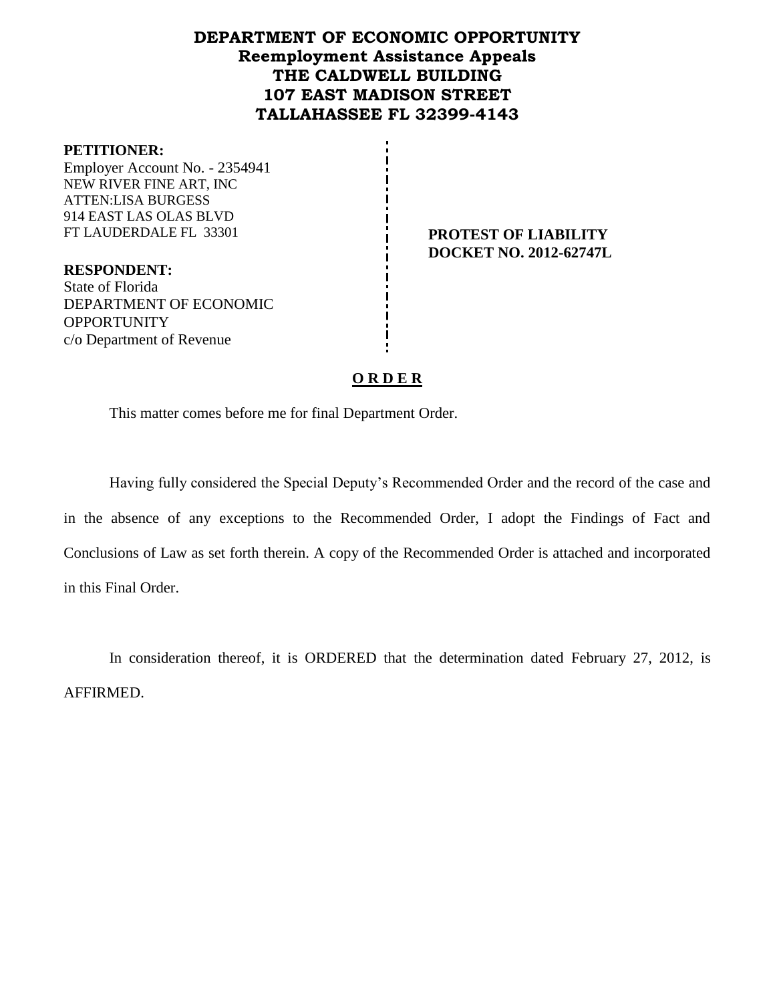## **DEPARTMENT OF ECONOMIC OPPORTUNITY Reemployment Assistance Appeals THE CALDWELL BUILDING 107 EAST MADISON STREET TALLAHASSEE FL 32399-4143**

#### **PETITIONER:**

Employer Account No. - 2354941 NEW RIVER FINE ART, INC ATTEN:LISA BURGESS 914 EAST LAS OLAS BLVD FT LAUDERDALE FL 33301 **PROTEST OF LIABILITY**

**DOCKET NO. 2012-62747L**

**RESPONDENT:** State of Florida DEPARTMENT OF ECONOMIC **OPPORTUNITY** c/o Department of Revenue

## **O R D E R**

This matter comes before me for final Department Order.

Having fully considered the Special Deputy's Recommended Order and the record of the case and in the absence of any exceptions to the Recommended Order, I adopt the Findings of Fact and Conclusions of Law as set forth therein. A copy of the Recommended Order is attached and incorporated in this Final Order.

In consideration thereof, it is ORDERED that the determination dated February 27, 2012, is AFFIRMED.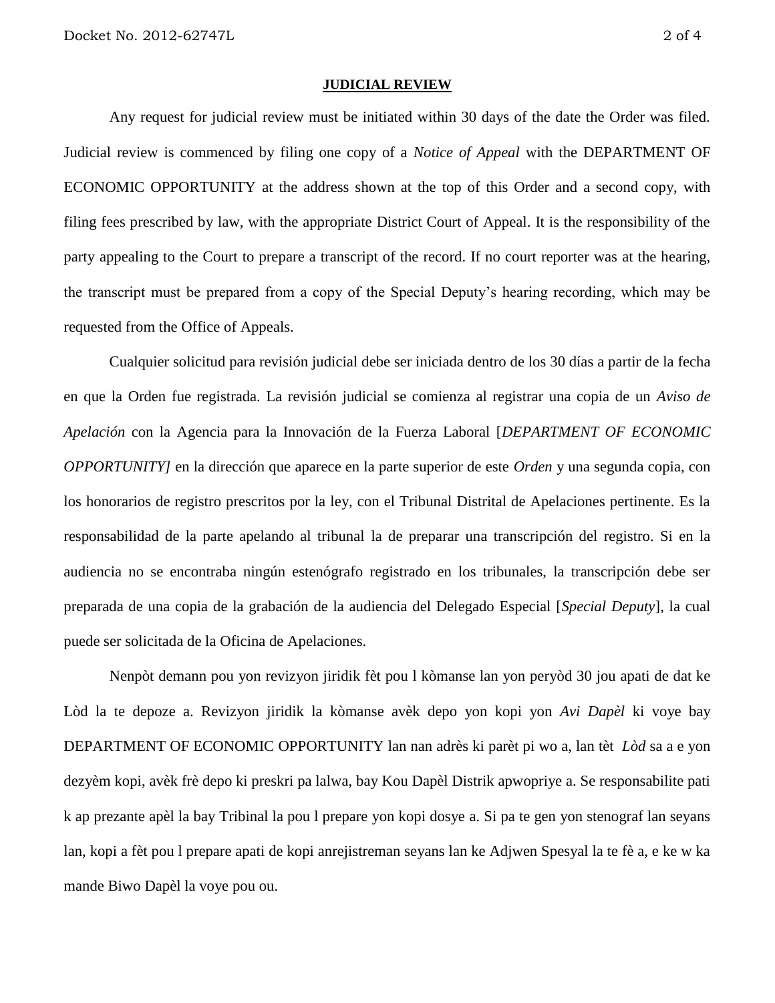#### **JUDICIAL REVIEW**

Any request for judicial review must be initiated within 30 days of the date the Order was filed. Judicial review is commenced by filing one copy of a *Notice of Appeal* with the DEPARTMENT OF ECONOMIC OPPORTUNITY at the address shown at the top of this Order and a second copy, with filing fees prescribed by law, with the appropriate District Court of Appeal. It is the responsibility of the party appealing to the Court to prepare a transcript of the record. If no court reporter was at the hearing, the transcript must be prepared from a copy of the Special Deputy's hearing recording, which may be requested from the Office of Appeals.

Cualquier solicitud para revisión judicial debe ser iniciada dentro de los 30 días a partir de la fecha en que la Orden fue registrada. La revisión judicial se comienza al registrar una copia de un *Aviso de Apelación* con la Agencia para la Innovación de la Fuerza Laboral [*DEPARTMENT OF ECONOMIC OPPORTUNITY]* en la dirección que aparece en la parte superior de este *Orden* y una segunda copia, con los honorarios de registro prescritos por la ley, con el Tribunal Distrital de Apelaciones pertinente. Es la responsabilidad de la parte apelando al tribunal la de preparar una transcripción del registro. Si en la audiencia no se encontraba ningún estenógrafo registrado en los tribunales, la transcripción debe ser preparada de una copia de la grabación de la audiencia del Delegado Especial [*Special Deputy*], la cual puede ser solicitada de la Oficina de Apelaciones.

Nenpòt demann pou yon revizyon jiridik fèt pou l kòmanse lan yon peryòd 30 jou apati de dat ke Lòd la te depoze a. Revizyon jiridik la kòmanse avèk depo yon kopi yon *Avi Dapèl* ki voye bay DEPARTMENT OF ECONOMIC OPPORTUNITY lan nan adrès ki parèt pi wo a, lan tèt *Lòd* sa a e yon dezyèm kopi, avèk frè depo ki preskri pa lalwa, bay Kou Dapèl Distrik apwopriye a. Se responsabilite pati k ap prezante apèl la bay Tribinal la pou l prepare yon kopi dosye a. Si pa te gen yon stenograf lan seyans lan, kopi a fèt pou l prepare apati de kopi anrejistreman seyans lan ke Adjwen Spesyal la te fè a, e ke w ka mande Biwo Dapèl la voye pou ou.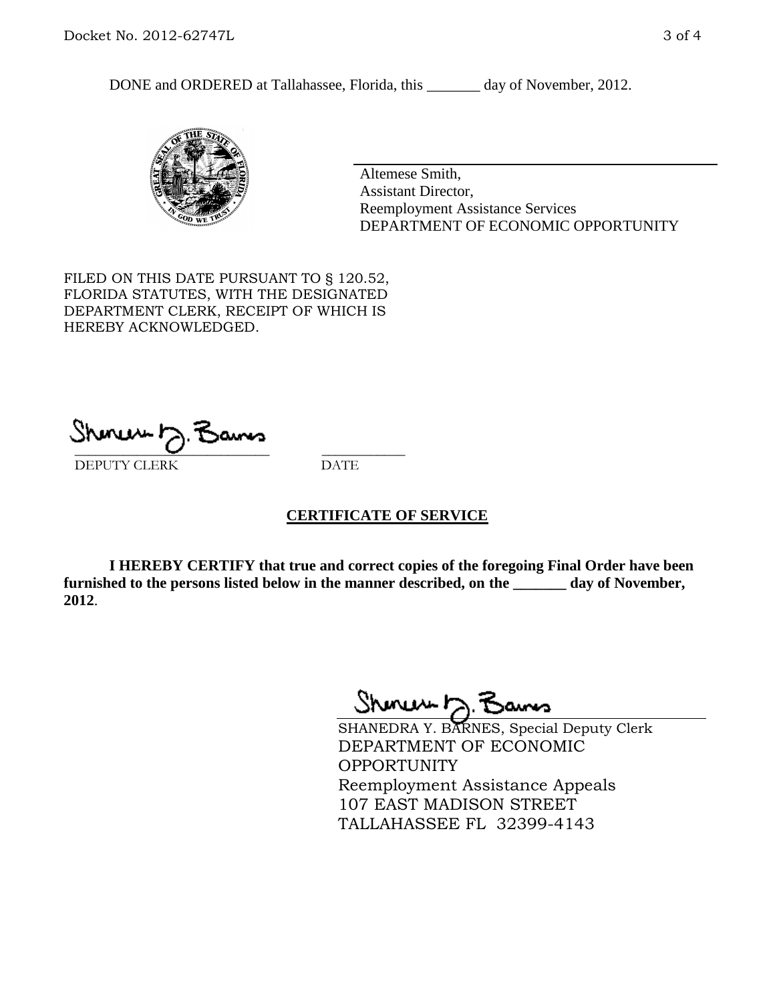DONE and ORDERED at Tallahassee, Florida, this \_\_\_\_\_\_\_ day of November, 2012.



Altemese Smith, Assistant Director, Reemployment Assistance Services DEPARTMENT OF ECONOMIC OPPORTUNITY

FILED ON THIS DATE PURSUANT TO § 120.52, FLORIDA STATUTES, WITH THE DESIGNATED DEPARTMENT CLERK, RECEIPT OF WHICH IS HEREBY ACKNOWLEDGED.

 $\overline{\phantom{a}}$  ,  $\overline{\phantom{a}}$  ,  $\overline{\phantom{a}}$  ,  $\overline{\phantom{a}}$  ,  $\overline{\phantom{a}}$  ,  $\overline{\phantom{a}}$  ,  $\overline{\phantom{a}}$  ,  $\overline{\phantom{a}}$ DEPUTY CLERK DATE

## **CERTIFICATE OF SERVICE**

**I HEREBY CERTIFY that true and correct copies of the foregoing Final Order have been furnished to the persons listed below in the manner described, on the \_\_\_\_\_\_\_ day of November, 2012**.

Shoner 5. Bans

SHANEDRA Y. BARNES, Special Deputy Clerk DEPARTMENT OF ECONOMIC OPPORTUNITY Reemployment Assistance Appeals 107 EAST MADISON STREET TALLAHASSEE FL 32399-4143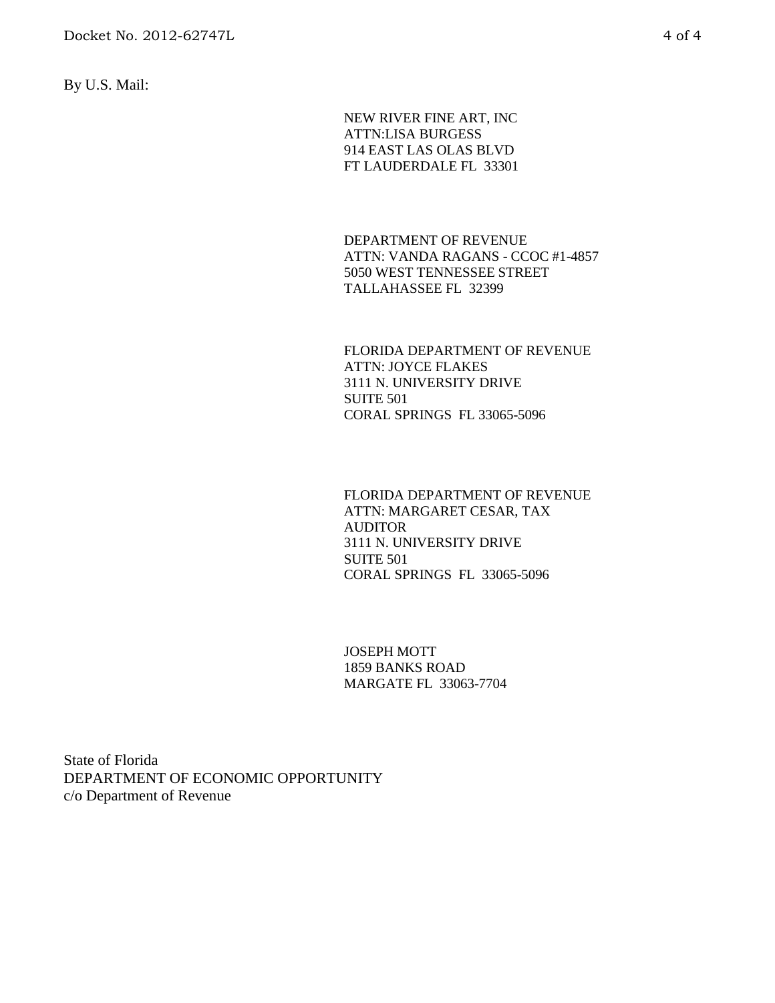By U.S. Mail:

NEW RIVER FINE ART, INC ATTN:LISA BURGESS 914 EAST LAS OLAS BLVD FT LAUDERDALE FL 33301

DEPARTMENT OF REVENUE ATTN: VANDA RAGANS - CCOC #1-4857 5050 WEST TENNESSEE STREET TALLAHASSEE FL 32399

FLORIDA DEPARTMENT OF REVENUE ATTN: JOYCE FLAKES 3111 N. UNIVERSITY DRIVE SUITE 501 CORAL SPRINGS FL 33065-5096

FLORIDA DEPARTMENT OF REVENUE ATTN: MARGARET CESAR, TAX AUDITOR 3111 N. UNIVERSITY DRIVE SUITE 501 CORAL SPRINGS FL 33065-5096

JOSEPH MOTT 1859 BANKS ROAD MARGATE FL 33063-7704

State of Florida DEPARTMENT OF ECONOMIC OPPORTUNITY c/o Department of Revenue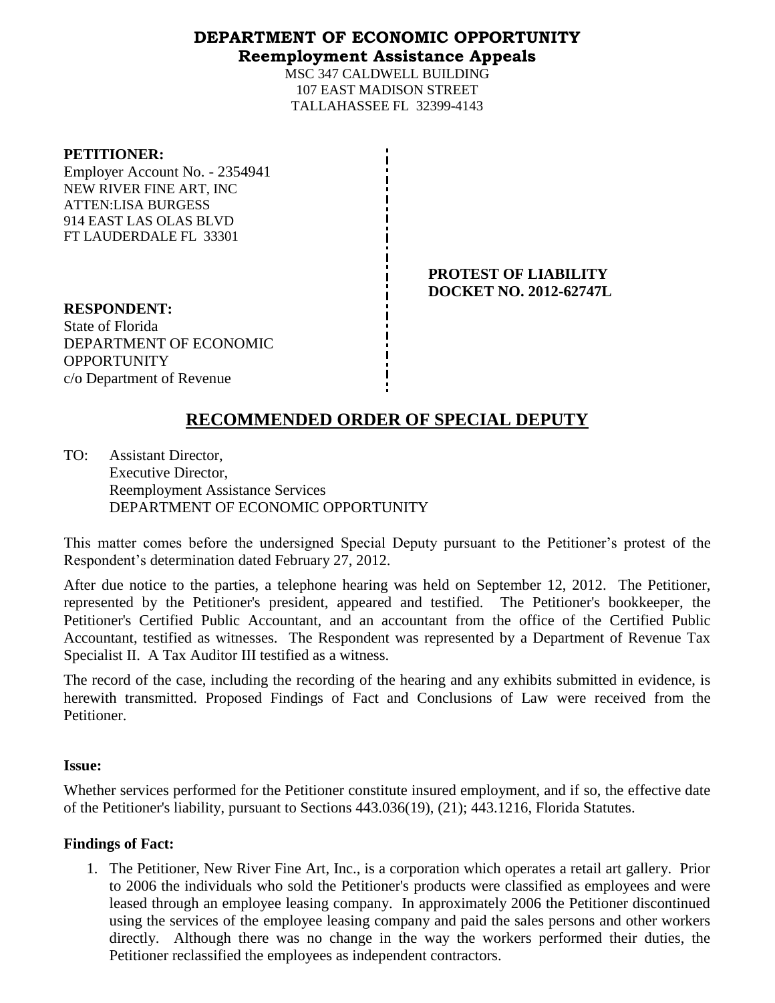## **DEPARTMENT OF ECONOMIC OPPORTUNITY Reemployment Assistance Appeals**

MSC 347 CALDWELL BUILDING 107 EAST MADISON STREET TALLAHASSEE FL 32399-4143

### **PETITIONER:**

Employer Account No. - 2354941 NEW RIVER FINE ART, INC ATTEN:LISA BURGESS 914 EAST LAS OLAS BLVD FT LAUDERDALE FL 33301

> **PROTEST OF LIABILITY DOCKET NO. 2012-62747L**

**RESPONDENT:** State of Florida DEPARTMENT OF ECONOMIC **OPPORTUNITY** c/o Department of Revenue

# **RECOMMENDED ORDER OF SPECIAL DEPUTY**

TO: Assistant Director, Executive Director, Reemployment Assistance Services DEPARTMENT OF ECONOMIC OPPORTUNITY

This matter comes before the undersigned Special Deputy pursuant to the Petitioner's protest of the Respondent's determination dated February 27, 2012.

After due notice to the parties, a telephone hearing was held on September 12, 2012. The Petitioner, represented by the Petitioner's president, appeared and testified. The Petitioner's bookkeeper, the Petitioner's Certified Public Accountant, and an accountant from the office of the Certified Public Accountant, testified as witnesses. The Respondent was represented by a Department of Revenue Tax Specialist II. A Tax Auditor III testified as a witness.

The record of the case, including the recording of the hearing and any exhibits submitted in evidence, is herewith transmitted. Proposed Findings of Fact and Conclusions of Law were received from the Petitioner.

### **Issue:**

Whether services performed for the Petitioner constitute insured employment, and if so, the effective date of the Petitioner's liability, pursuant to Sections 443.036(19), (21); 443.1216, Florida Statutes.

## **Findings of Fact:**

1. The Petitioner, New River Fine Art, Inc., is a corporation which operates a retail art gallery. Prior to 2006 the individuals who sold the Petitioner's products were classified as employees and were leased through an employee leasing company. In approximately 2006 the Petitioner discontinued using the services of the employee leasing company and paid the sales persons and other workers directly. Although there was no change in the way the workers performed their duties, the Petitioner reclassified the employees as independent contractors.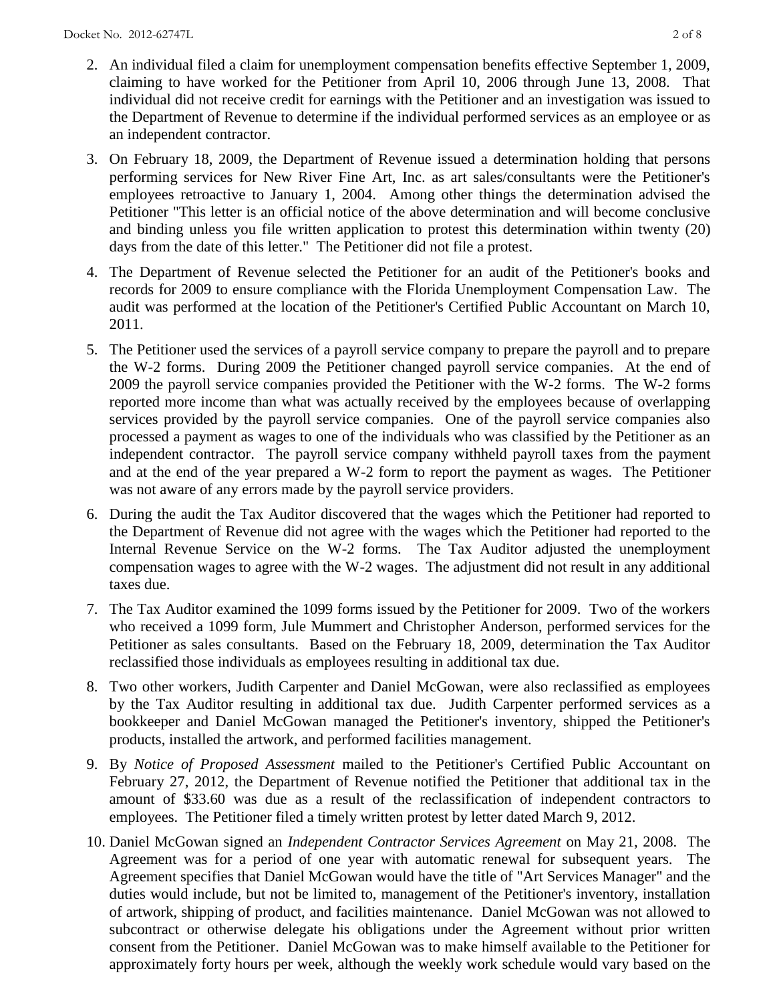- 2. An individual filed a claim for unemployment compensation benefits effective September 1, 2009, claiming to have worked for the Petitioner from April 10, 2006 through June 13, 2008. That individual did not receive credit for earnings with the Petitioner and an investigation was issued to the Department of Revenue to determine if the individual performed services as an employee or as an independent contractor.
- 3. On February 18, 2009, the Department of Revenue issued a determination holding that persons performing services for New River Fine Art, Inc. as art sales/consultants were the Petitioner's employees retroactive to January 1, 2004. Among other things the determination advised the Petitioner "This letter is an official notice of the above determination and will become conclusive and binding unless you file written application to protest this determination within twenty (20) days from the date of this letter." The Petitioner did not file a protest.
- 4. The Department of Revenue selected the Petitioner for an audit of the Petitioner's books and records for 2009 to ensure compliance with the Florida Unemployment Compensation Law. The audit was performed at the location of the Petitioner's Certified Public Accountant on March 10, 2011.
- 5. The Petitioner used the services of a payroll service company to prepare the payroll and to prepare the W-2 forms. During 2009 the Petitioner changed payroll service companies. At the end of 2009 the payroll service companies provided the Petitioner with the W-2 forms. The W-2 forms reported more income than what was actually received by the employees because of overlapping services provided by the payroll service companies. One of the payroll service companies also processed a payment as wages to one of the individuals who was classified by the Petitioner as an independent contractor. The payroll service company withheld payroll taxes from the payment and at the end of the year prepared a W-2 form to report the payment as wages. The Petitioner was not aware of any errors made by the payroll service providers.
- 6. During the audit the Tax Auditor discovered that the wages which the Petitioner had reported to the Department of Revenue did not agree with the wages which the Petitioner had reported to the Internal Revenue Service on the W-2 forms. The Tax Auditor adjusted the unemployment compensation wages to agree with the W-2 wages. The adjustment did not result in any additional taxes due.
- 7. The Tax Auditor examined the 1099 forms issued by the Petitioner for 2009. Two of the workers who received a 1099 form, Jule Mummert and Christopher Anderson, performed services for the Petitioner as sales consultants. Based on the February 18, 2009, determination the Tax Auditor reclassified those individuals as employees resulting in additional tax due.
- 8. Two other workers, Judith Carpenter and Daniel McGowan, were also reclassified as employees by the Tax Auditor resulting in additional tax due. Judith Carpenter performed services as a bookkeeper and Daniel McGowan managed the Petitioner's inventory, shipped the Petitioner's products, installed the artwork, and performed facilities management.
- 9. By *Notice of Proposed Assessment* mailed to the Petitioner's Certified Public Accountant on February 27, 2012, the Department of Revenue notified the Petitioner that additional tax in the amount of \$33.60 was due as a result of the reclassification of independent contractors to employees. The Petitioner filed a timely written protest by letter dated March 9, 2012.
- 10. Daniel McGowan signed an *Independent Contractor Services Agreement* on May 21, 2008. The Agreement was for a period of one year with automatic renewal for subsequent years. The Agreement specifies that Daniel McGowan would have the title of "Art Services Manager" and the duties would include, but not be limited to, management of the Petitioner's inventory, installation of artwork, shipping of product, and facilities maintenance. Daniel McGowan was not allowed to subcontract or otherwise delegate his obligations under the Agreement without prior written consent from the Petitioner. Daniel McGowan was to make himself available to the Petitioner for approximately forty hours per week, although the weekly work schedule would vary based on the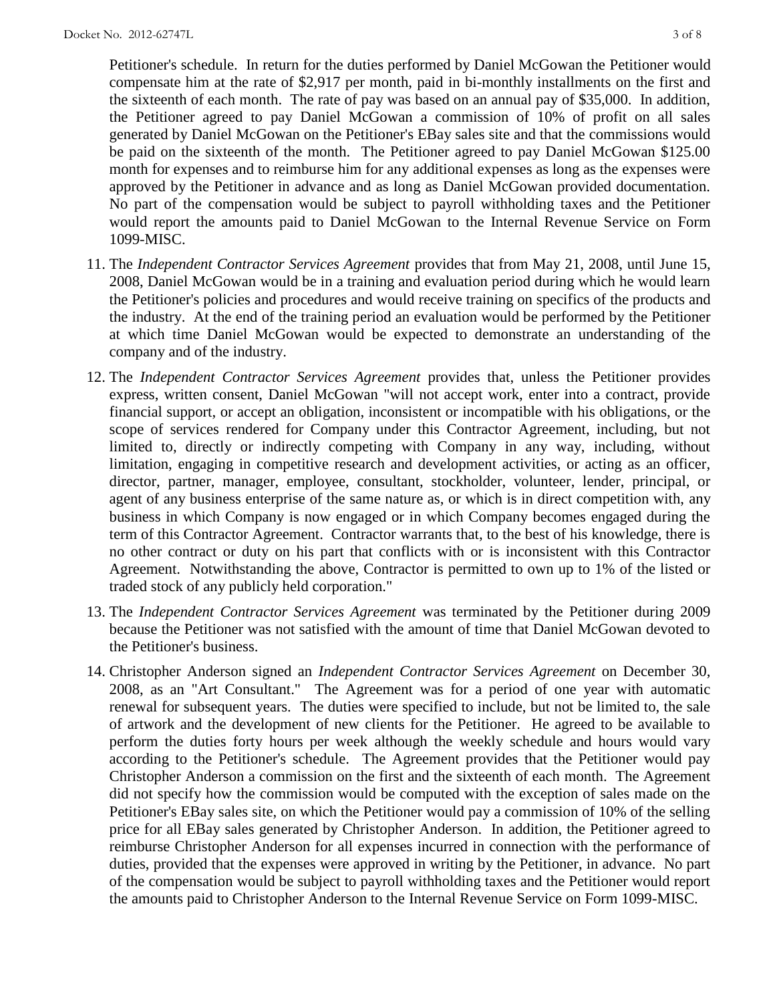Petitioner's schedule. In return for the duties performed by Daniel McGowan the Petitioner would compensate him at the rate of \$2,917 per month, paid in bi-monthly installments on the first and the sixteenth of each month. The rate of pay was based on an annual pay of \$35,000. In addition, the Petitioner agreed to pay Daniel McGowan a commission of 10% of profit on all sales generated by Daniel McGowan on the Petitioner's EBay sales site and that the commissions would be paid on the sixteenth of the month. The Petitioner agreed to pay Daniel McGowan \$125.00 month for expenses and to reimburse him for any additional expenses as long as the expenses were approved by the Petitioner in advance and as long as Daniel McGowan provided documentation. No part of the compensation would be subject to payroll withholding taxes and the Petitioner would report the amounts paid to Daniel McGowan to the Internal Revenue Service on Form 1099-MISC.

- 11. The *Independent Contractor Services Agreement* provides that from May 21, 2008, until June 15, 2008, Daniel McGowan would be in a training and evaluation period during which he would learn the Petitioner's policies and procedures and would receive training on specifics of the products and the industry. At the end of the training period an evaluation would be performed by the Petitioner at which time Daniel McGowan would be expected to demonstrate an understanding of the company and of the industry.
- 12. The *Independent Contractor Services Agreement* provides that, unless the Petitioner provides express, written consent, Daniel McGowan "will not accept work, enter into a contract, provide financial support, or accept an obligation, inconsistent or incompatible with his obligations, or the scope of services rendered for Company under this Contractor Agreement, including, but not limited to, directly or indirectly competing with Company in any way, including, without limitation, engaging in competitive research and development activities, or acting as an officer, director, partner, manager, employee, consultant, stockholder, volunteer, lender, principal, or agent of any business enterprise of the same nature as, or which is in direct competition with, any business in which Company is now engaged or in which Company becomes engaged during the term of this Contractor Agreement. Contractor warrants that, to the best of his knowledge, there is no other contract or duty on his part that conflicts with or is inconsistent with this Contractor Agreement. Notwithstanding the above, Contractor is permitted to own up to 1% of the listed or traded stock of any publicly held corporation."
- 13. The *Independent Contractor Services Agreement* was terminated by the Petitioner during 2009 because the Petitioner was not satisfied with the amount of time that Daniel McGowan devoted to the Petitioner's business.
- 14. Christopher Anderson signed an *Independent Contractor Services Agreement* on December 30, 2008, as an "Art Consultant." The Agreement was for a period of one year with automatic renewal for subsequent years. The duties were specified to include, but not be limited to, the sale of artwork and the development of new clients for the Petitioner. He agreed to be available to perform the duties forty hours per week although the weekly schedule and hours would vary according to the Petitioner's schedule. The Agreement provides that the Petitioner would pay Christopher Anderson a commission on the first and the sixteenth of each month. The Agreement did not specify how the commission would be computed with the exception of sales made on the Petitioner's EBay sales site, on which the Petitioner would pay a commission of 10% of the selling price for all EBay sales generated by Christopher Anderson. In addition, the Petitioner agreed to reimburse Christopher Anderson for all expenses incurred in connection with the performance of duties, provided that the expenses were approved in writing by the Petitioner, in advance. No part of the compensation would be subject to payroll withholding taxes and the Petitioner would report the amounts paid to Christopher Anderson to the Internal Revenue Service on Form 1099-MISC.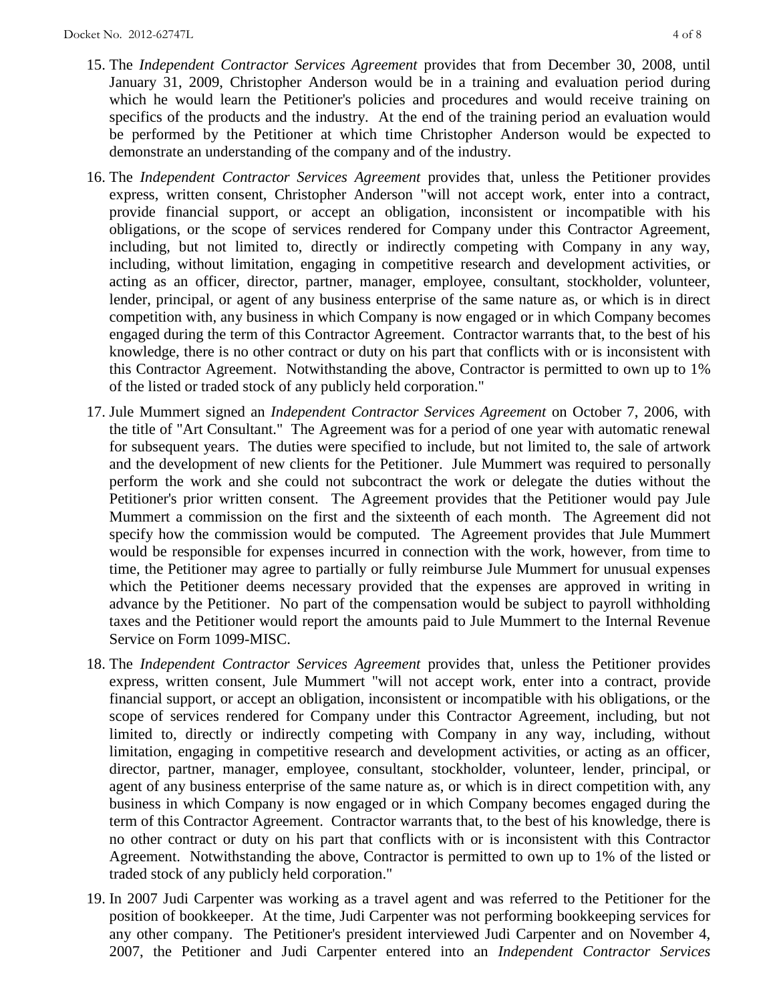- 15. The *Independent Contractor Services Agreement* provides that from December 30, 2008, until January 31, 2009, Christopher Anderson would be in a training and evaluation period during which he would learn the Petitioner's policies and procedures and would receive training on specifics of the products and the industry. At the end of the training period an evaluation would be performed by the Petitioner at which time Christopher Anderson would be expected to demonstrate an understanding of the company and of the industry.
- 16. The *Independent Contractor Services Agreement* provides that, unless the Petitioner provides express, written consent, Christopher Anderson "will not accept work, enter into a contract, provide financial support, or accept an obligation, inconsistent or incompatible with his obligations, or the scope of services rendered for Company under this Contractor Agreement, including, but not limited to, directly or indirectly competing with Company in any way, including, without limitation, engaging in competitive research and development activities, or acting as an officer, director, partner, manager, employee, consultant, stockholder, volunteer, lender, principal, or agent of any business enterprise of the same nature as, or which is in direct competition with, any business in which Company is now engaged or in which Company becomes engaged during the term of this Contractor Agreement. Contractor warrants that, to the best of his knowledge, there is no other contract or duty on his part that conflicts with or is inconsistent with this Contractor Agreement. Notwithstanding the above, Contractor is permitted to own up to 1% of the listed or traded stock of any publicly held corporation."
- 17. Jule Mummert signed an *Independent Contractor Services Agreement* on October 7, 2006, with the title of "Art Consultant." The Agreement was for a period of one year with automatic renewal for subsequent years. The duties were specified to include, but not limited to, the sale of artwork and the development of new clients for the Petitioner. Jule Mummert was required to personally perform the work and she could not subcontract the work or delegate the duties without the Petitioner's prior written consent. The Agreement provides that the Petitioner would pay Jule Mummert a commission on the first and the sixteenth of each month. The Agreement did not specify how the commission would be computed. The Agreement provides that Jule Mummert would be responsible for expenses incurred in connection with the work, however, from time to time, the Petitioner may agree to partially or fully reimburse Jule Mummert for unusual expenses which the Petitioner deems necessary provided that the expenses are approved in writing in advance by the Petitioner. No part of the compensation would be subject to payroll withholding taxes and the Petitioner would report the amounts paid to Jule Mummert to the Internal Revenue Service on Form 1099-MISC.
- 18. The *Independent Contractor Services Agreement* provides that, unless the Petitioner provides express, written consent, Jule Mummert "will not accept work, enter into a contract, provide financial support, or accept an obligation, inconsistent or incompatible with his obligations, or the scope of services rendered for Company under this Contractor Agreement, including, but not limited to, directly or indirectly competing with Company in any way, including, without limitation, engaging in competitive research and development activities, or acting as an officer, director, partner, manager, employee, consultant, stockholder, volunteer, lender, principal, or agent of any business enterprise of the same nature as, or which is in direct competition with, any business in which Company is now engaged or in which Company becomes engaged during the term of this Contractor Agreement. Contractor warrants that, to the best of his knowledge, there is no other contract or duty on his part that conflicts with or is inconsistent with this Contractor Agreement. Notwithstanding the above, Contractor is permitted to own up to 1% of the listed or traded stock of any publicly held corporation."
- 19. In 2007 Judi Carpenter was working as a travel agent and was referred to the Petitioner for the position of bookkeeper. At the time, Judi Carpenter was not performing bookkeeping services for any other company. The Petitioner's president interviewed Judi Carpenter and on November 4, 2007, the Petitioner and Judi Carpenter entered into an *Independent Contractor Services*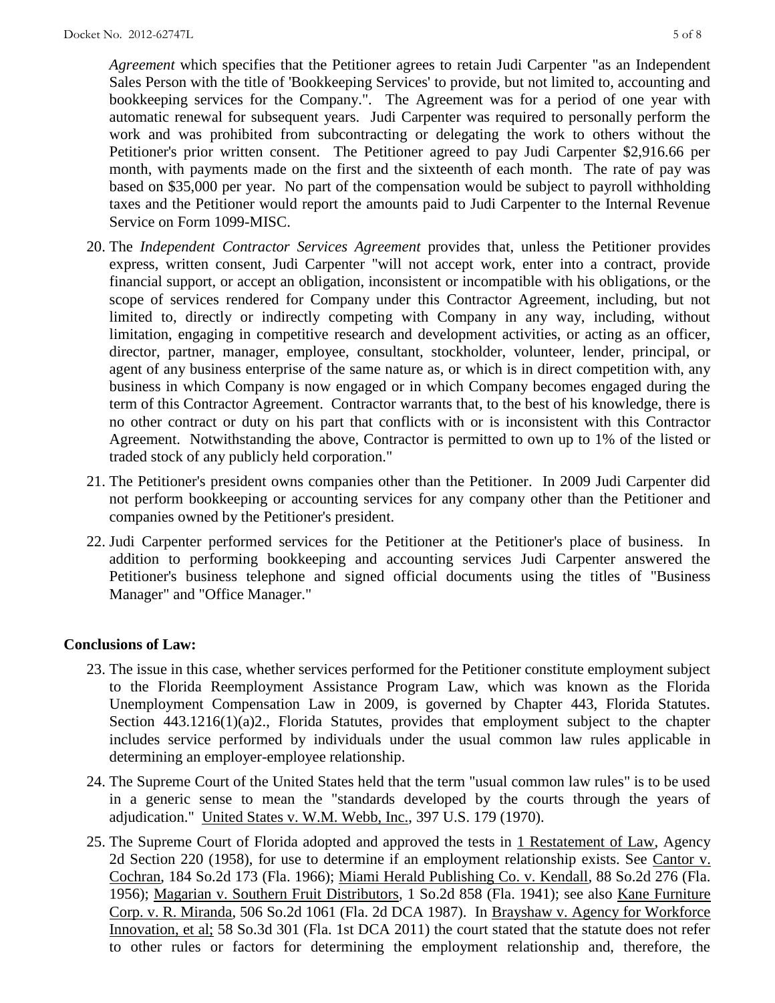*Agreement* which specifies that the Petitioner agrees to retain Judi Carpenter "as an Independent Sales Person with the title of 'Bookkeeping Services' to provide, but not limited to, accounting and bookkeeping services for the Company.". The Agreement was for a period of one year with automatic renewal for subsequent years. Judi Carpenter was required to personally perform the work and was prohibited from subcontracting or delegating the work to others without the Petitioner's prior written consent. The Petitioner agreed to pay Judi Carpenter \$2,916.66 per month, with payments made on the first and the sixteenth of each month. The rate of pay was based on \$35,000 per year. No part of the compensation would be subject to payroll withholding taxes and the Petitioner would report the amounts paid to Judi Carpenter to the Internal Revenue Service on Form 1099-MISC.

- 20. The *Independent Contractor Services Agreement* provides that, unless the Petitioner provides express, written consent, Judi Carpenter "will not accept work, enter into a contract, provide financial support, or accept an obligation, inconsistent or incompatible with his obligations, or the scope of services rendered for Company under this Contractor Agreement, including, but not limited to, directly or indirectly competing with Company in any way, including, without limitation, engaging in competitive research and development activities, or acting as an officer, director, partner, manager, employee, consultant, stockholder, volunteer, lender, principal, or agent of any business enterprise of the same nature as, or which is in direct competition with, any business in which Company is now engaged or in which Company becomes engaged during the term of this Contractor Agreement. Contractor warrants that, to the best of his knowledge, there is no other contract or duty on his part that conflicts with or is inconsistent with this Contractor Agreement. Notwithstanding the above, Contractor is permitted to own up to 1% of the listed or traded stock of any publicly held corporation."
- 21. The Petitioner's president owns companies other than the Petitioner. In 2009 Judi Carpenter did not perform bookkeeping or accounting services for any company other than the Petitioner and companies owned by the Petitioner's president.
- 22. Judi Carpenter performed services for the Petitioner at the Petitioner's place of business. In addition to performing bookkeeping and accounting services Judi Carpenter answered the Petitioner's business telephone and signed official documents using the titles of "Business Manager" and "Office Manager."

## **Conclusions of Law:**

- 23. The issue in this case, whether services performed for the Petitioner constitute employment subject to the Florida Reemployment Assistance Program Law, which was known as the Florida Unemployment Compensation Law in 2009, is governed by Chapter 443, Florida Statutes. Section 443.1216(1)(a)2., Florida Statutes, provides that employment subject to the chapter includes service performed by individuals under the usual common law rules applicable in determining an employer-employee relationship.
- 24. The Supreme Court of the United States held that the term "usual common law rules" is to be used in a generic sense to mean the "standards developed by the courts through the years of adjudication." United States v. W.M. Webb, Inc., 397 U.S. 179 (1970).
- 25. The Supreme Court of Florida adopted and approved the tests in 1 Restatement of Law, Agency 2d Section 220 (1958), for use to determine if an employment relationship exists. See Cantor v. Cochran, 184 So.2d 173 (Fla. 1966); Miami Herald Publishing Co. v. Kendall, 88 So.2d 276 (Fla. 1956); Magarian v. Southern Fruit Distributors, 1 So.2d 858 (Fla. 1941); see also Kane Furniture Corp. v. R. Miranda, 506 So.2d 1061 (Fla. 2d DCA 1987). In Brayshaw v. Agency for Workforce Innovation, et al; 58 So.3d 301 (Fla. 1st DCA 2011) the court stated that the statute does not refer to other rules or factors for determining the employment relationship and, therefore, the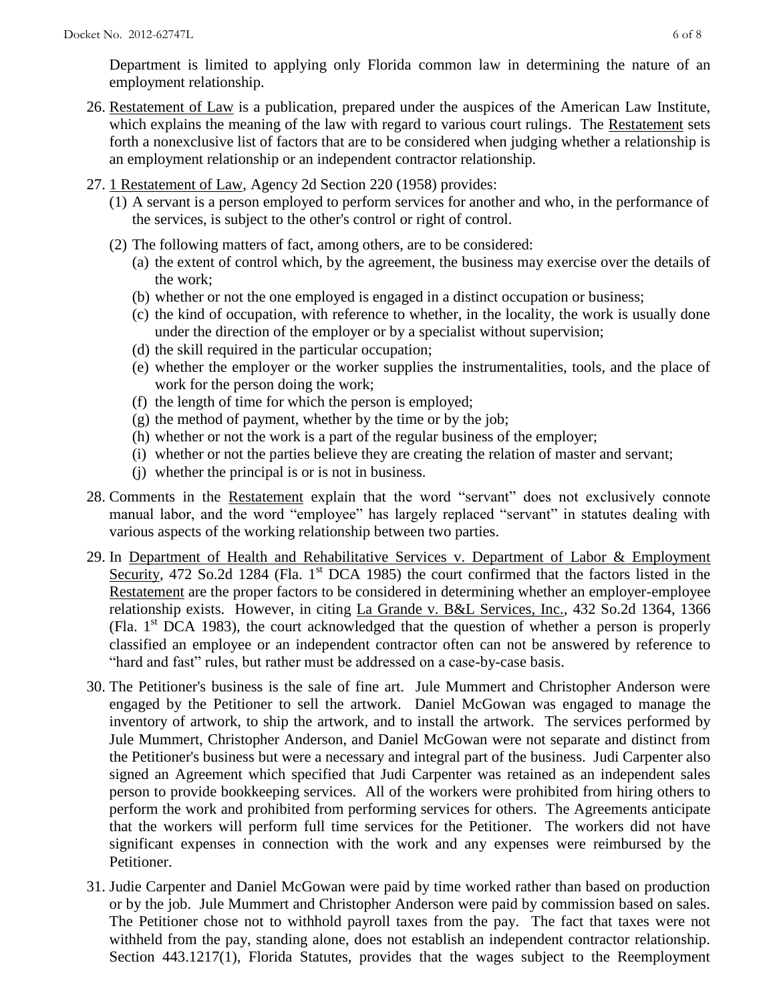Department is limited to applying only Florida common law in determining the nature of an employment relationship.

- 26. Restatement of Law is a publication, prepared under the auspices of the American Law Institute, which explains the meaning of the law with regard to various court rulings. The Restatement sets forth a nonexclusive list of factors that are to be considered when judging whether a relationship is an employment relationship or an independent contractor relationship.
- 27. 1 Restatement of Law, Agency 2d Section 220 (1958) provides:
	- (1) A servant is a person employed to perform services for another and who, in the performance of the services, is subject to the other's control or right of control.
	- (2) The following matters of fact, among others, are to be considered:
		- (a) the extent of control which, by the agreement, the business may exercise over the details of the work;
		- (b) whether or not the one employed is engaged in a distinct occupation or business;
		- (c) the kind of occupation, with reference to whether, in the locality, the work is usually done under the direction of the employer or by a specialist without supervision;
		- (d) the skill required in the particular occupation;
		- (e) whether the employer or the worker supplies the instrumentalities, tools, and the place of work for the person doing the work;
		- (f) the length of time for which the person is employed;
		- $(g)$  the method of payment, whether by the time or by the job;
		- (h) whether or not the work is a part of the regular business of the employer;
		- (i) whether or not the parties believe they are creating the relation of master and servant;
		- (j) whether the principal is or is not in business.
- 28. Comments in the Restatement explain that the word "servant" does not exclusively connote manual labor, and the word "employee" has largely replaced "servant" in statutes dealing with various aspects of the working relationship between two parties.
- 29. In Department of Health and Rehabilitative Services v. Department of Labor & Employment Security, 472 So.2d 1284 (Fla. 1<sup>st</sup> DCA 1985) the court confirmed that the factors listed in the Restatement are the proper factors to be considered in determining whether an employer-employee relationship exists. However, in citing La Grande v. B&L Services, Inc., 432 So.2d 1364, 1366 (Fla.  $1<sup>st</sup> DCA$  1983), the court acknowledged that the question of whether a person is properly classified an employee or an independent contractor often can not be answered by reference to "hard and fast" rules, but rather must be addressed on a case-by-case basis.
- 30. The Petitioner's business is the sale of fine art. Jule Mummert and Christopher Anderson were engaged by the Petitioner to sell the artwork. Daniel McGowan was engaged to manage the inventory of artwork, to ship the artwork, and to install the artwork. The services performed by Jule Mummert, Christopher Anderson, and Daniel McGowan were not separate and distinct from the Petitioner's business but were a necessary and integral part of the business. Judi Carpenter also signed an Agreement which specified that Judi Carpenter was retained as an independent sales person to provide bookkeeping services. All of the workers were prohibited from hiring others to perform the work and prohibited from performing services for others. The Agreements anticipate that the workers will perform full time services for the Petitioner. The workers did not have significant expenses in connection with the work and any expenses were reimbursed by the Petitioner.
- 31. Judie Carpenter and Daniel McGowan were paid by time worked rather than based on production or by the job. Jule Mummert and Christopher Anderson were paid by commission based on sales. The Petitioner chose not to withhold payroll taxes from the pay. The fact that taxes were not withheld from the pay, standing alone, does not establish an independent contractor relationship. Section 443.1217(1), Florida Statutes, provides that the wages subject to the Reemployment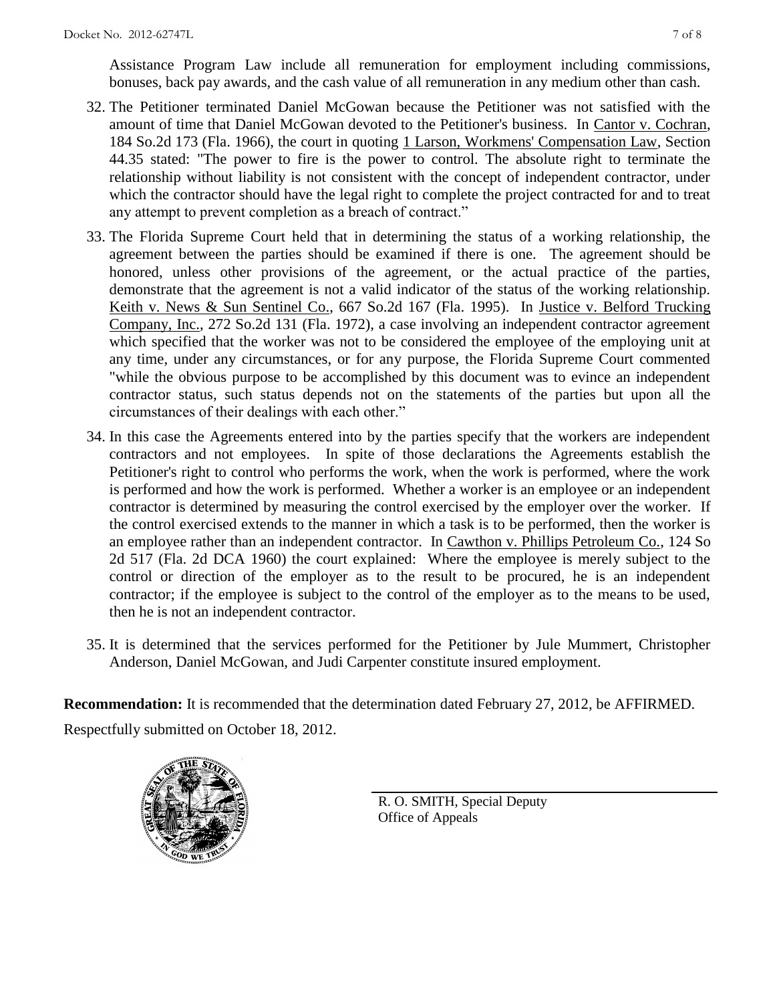Assistance Program Law include all remuneration for employment including commissions, bonuses, back pay awards, and the cash value of all remuneration in any medium other than cash.

- 32. The Petitioner terminated Daniel McGowan because the Petitioner was not satisfied with the amount of time that Daniel McGowan devoted to the Petitioner's business. In Cantor v. Cochran, 184 So.2d 173 (Fla. 1966), the court in quoting 1 Larson, Workmens' Compensation Law, Section 44.35 stated: "The power to fire is the power to control. The absolute right to terminate the relationship without liability is not consistent with the concept of independent contractor, under which the contractor should have the legal right to complete the project contracted for and to treat any attempt to prevent completion as a breach of contract."
- 33. The Florida Supreme Court held that in determining the status of a working relationship, the agreement between the parties should be examined if there is one. The agreement should be honored, unless other provisions of the agreement, or the actual practice of the parties, demonstrate that the agreement is not a valid indicator of the status of the working relationship. Keith v. News & Sun Sentinel Co., 667 So.2d 167 (Fla. 1995). In Justice v. Belford Trucking Company, Inc., 272 So.2d 131 (Fla. 1972), a case involving an independent contractor agreement which specified that the worker was not to be considered the employee of the employing unit at any time, under any circumstances, or for any purpose, the Florida Supreme Court commented "while the obvious purpose to be accomplished by this document was to evince an independent contractor status, such status depends not on the statements of the parties but upon all the circumstances of their dealings with each other."
- 34. In this case the Agreements entered into by the parties specify that the workers are independent contractors and not employees. In spite of those declarations the Agreements establish the Petitioner's right to control who performs the work, when the work is performed, where the work is performed and how the work is performed. Whether a worker is an employee or an independent contractor is determined by measuring the control exercised by the employer over the worker. If the control exercised extends to the manner in which a task is to be performed, then the worker is an employee rather than an independent contractor. In Cawthon v. Phillips Petroleum Co., 124 So 2d 517 (Fla. 2d DCA 1960) the court explained: Where the employee is merely subject to the control or direction of the employer as to the result to be procured, he is an independent contractor; if the employee is subject to the control of the employer as to the means to be used, then he is not an independent contractor.
- 35. It is determined that the services performed for the Petitioner by Jule Mummert, Christopher Anderson, Daniel McGowan, and Judi Carpenter constitute insured employment.

**Recommendation:** It is recommended that the determination dated February 27, 2012, be AFFIRMED. Respectfully submitted on October 18, 2012.



R. O. SMITH, Special Deputy Office of Appeals